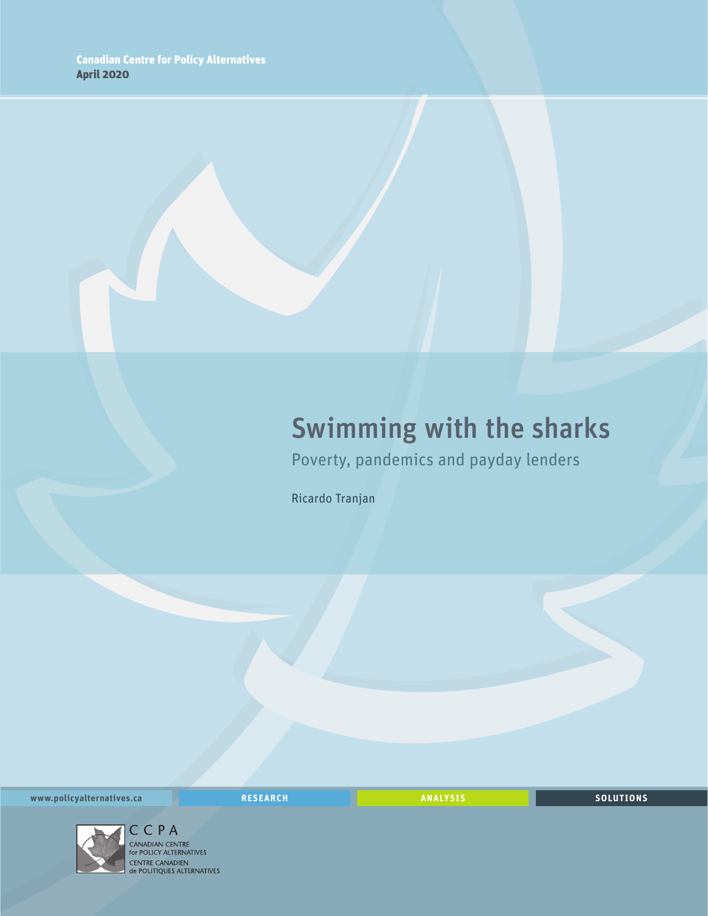# Swimming with the sharks

Poverty, pandemics and payday lenders

Ricardo Tranjan

**www.policyalternatives.ca** <mark>RESEARCH</mark> ANALYSIS SOLUTIONS



CENTRE CANADIEN<br>
de POLITIQUES ALTERNATIVES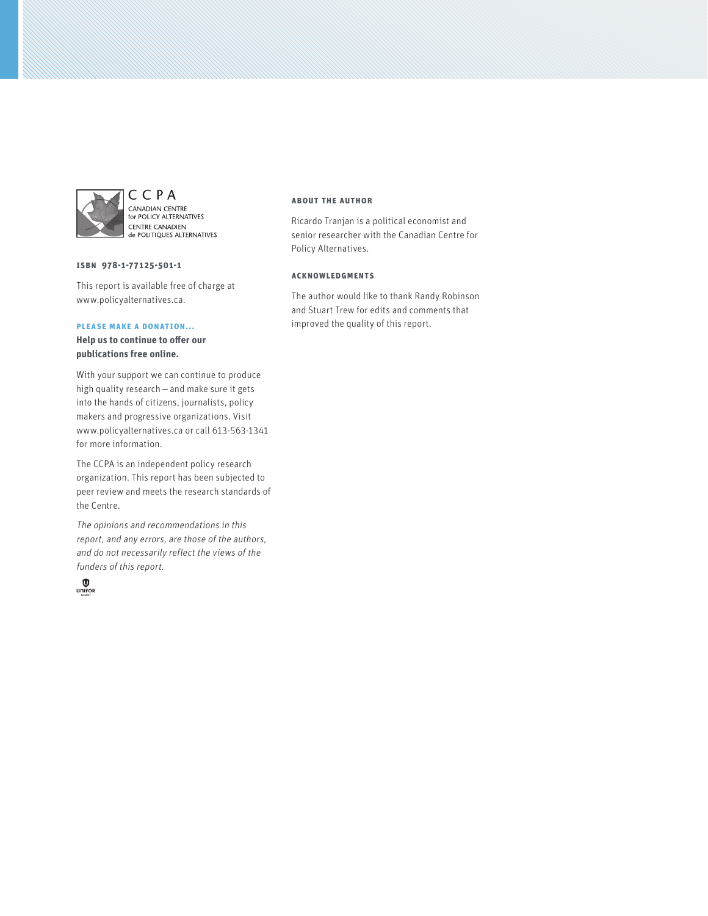

CCPA CANADIAN CENTRE<br>for POLICY ALTERNATIVES CENTRE CANADIEN **CENTRE CANADIEN** 

#### **ISBN 978-1-77125-501-1**

This report is available free of charge at www.policyalternatives.ca.

#### **Please make a donation...**

**Help us to continue to offer our publications free online.**

With your support we can continue to produce high quality research—and make sure it gets into the hands of citizens, journalists, policy makers and progressive organizations. Visit www.policyalternatives.ca or call 613-563-1341 for more information.

The CCPA is an independent policy research organization. This report has been subjected to peer review and meets the research standards of the Centre.

The opinions and recommendations in this report, and any errors, are those of the authors, and do not necessarily reflect the views of the funders of this report.



#### **About the author**

Ricardo Tranjan is a political economist and senior researcher with the Canadian Centre for Policy Alternatives.

#### **Acknowledgments**

The author would like to thank Randy Robinson and Stuart Trew for edits and comments that improved the quality of this report.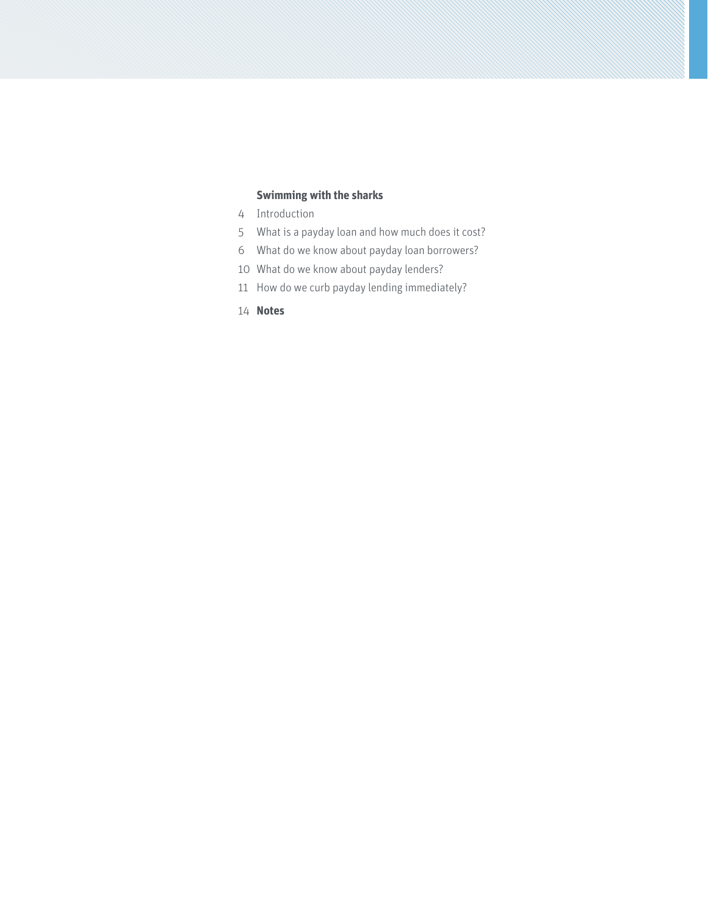## **[Swimming with the sharks](#page-3-0)**

- [Introduction](#page-3-0)
- [What is a payday loan and how much does it cost?](#page-4-0)
- [What do we know about payday loan borrowers?](#page-5-0)
- What do we know about payday lenders?
- [How do we curb payday lending immediately?](#page-10-0)
- **[Notes](#page-13-0)**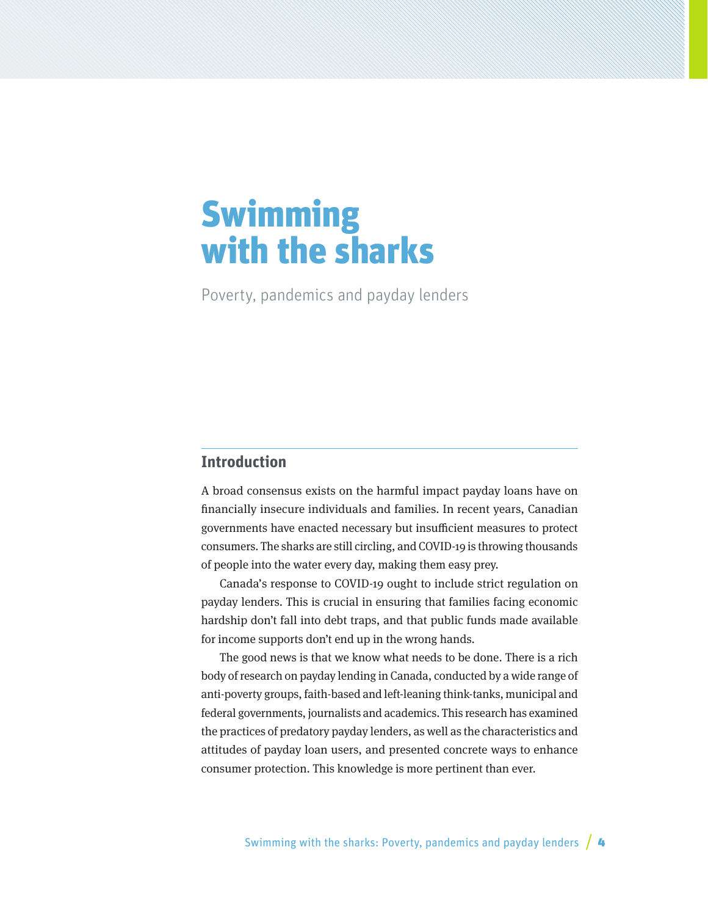# <span id="page-3-0"></span>**Swimming** with the sharks

Poverty, pandemics and payday lenders

## **Introduction**

A broad consensus exists on the harmful impact payday loans have on financially insecure individuals and families. In recent years, Canadian governments have enacted necessary but insufficient measures to protect consumers. The sharks are still circling, and COVID-19 is throwing thousands of people into the water every day, making them easy prey.

Canada's response to COVID-19 ought to include strict regulation on payday lenders. This is crucial in ensuring that families facing economic hardship don't fall into debt traps, and that public funds made available for income supports don't end up in the wrong hands.

The good news is that we know what needs to be done. There is a rich body of research on payday lending in Canada, conducted by a wide range of anti-poverty groups, faith-based and left-leaning think-tanks, municipal and federal governments, journalists and academics. This research has examined the practices of predatory payday lenders, as well as the characteristics and attitudes of payday loan users, and presented concrete ways to enhance consumer protection. This knowledge is more pertinent than ever.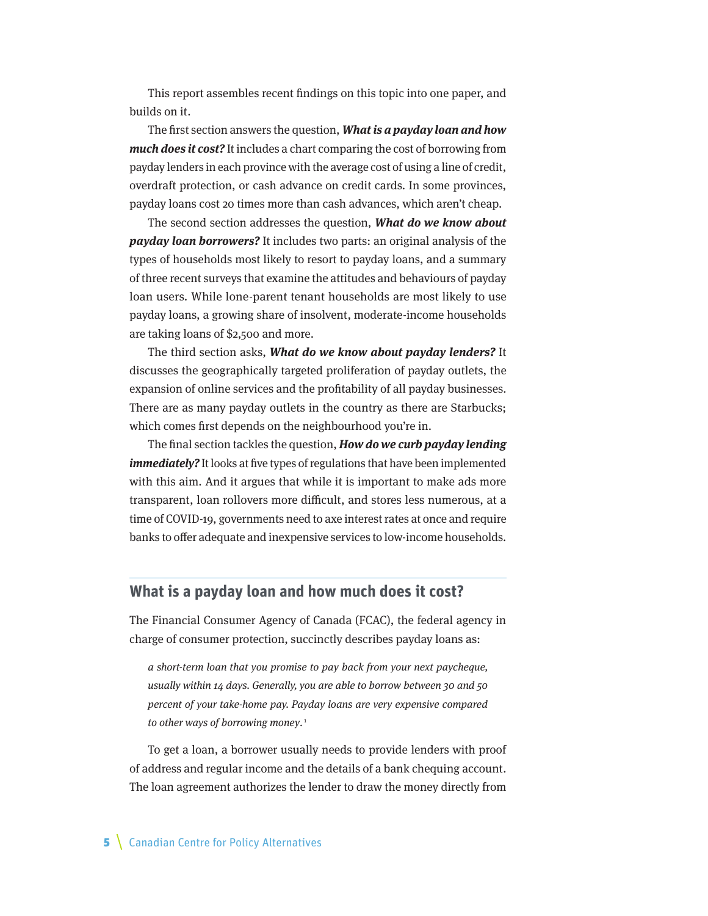<span id="page-4-0"></span>This report assembles recent findings on this topic into one paper, and builds on it.

The first section answers the question, **What is a payday loan and how much does it cost?** It includes a chart comparing the cost of borrowing from payday lenders in each province with the average cost of using a line of credit, overdraft protection, or cash advance on credit cards. In some provinces, payday loans cost 20 times more than cash advances, which aren't cheap.

The second section addresses the question, **What do we know about payday loan borrowers?** It includes two parts: an original analysis of the types of households most likely to resort to payday loans, and a summary of three recent surveys that examine the attitudes and behaviours of payday loan users. While lone-parent tenant households are most likely to use payday loans, a growing share of insolvent, moderate-income households are taking loans of \$2,500 and more.

The third section asks, **What do we know about payday lenders?** It discusses the geographically targeted proliferation of payday outlets, the expansion of online services and the profitability of all payday businesses. There are as many payday outlets in the country as there are Starbucks; which comes first depends on the neighbourhood you're in.

The final section tackles the question, **How do we curb payday lending**  *immediately?* It looks at five types of regulations that have been implemented with this aim. And it argues that while it is important to make ads more transparent, loan rollovers more difficult, and stores less numerous, at a time of COVID-19, governments need to axe interest rates at once and require banks to offer adequate and inexpensive services to low-income households.

### **What is a payday loan and how much does it cost?**

The Financial Consumer Agency of Canada (FCAC), the federal agency in charge of consumer protection, succinctly describes payday loans as:

a short-term loan that you promise to pay back from your next paycheque, usually within 14 days. Generally, you are able to borrow between 30 and 50 percent of your take-home pay. Payday loans are very expensive compared to other ways of borrowing money.<sup>1</sup>

To get a loan, a borrower usually needs to provide lenders with proof of address and regular income and the details of a bank chequing account. The loan agreement authorizes the lender to draw the money directly from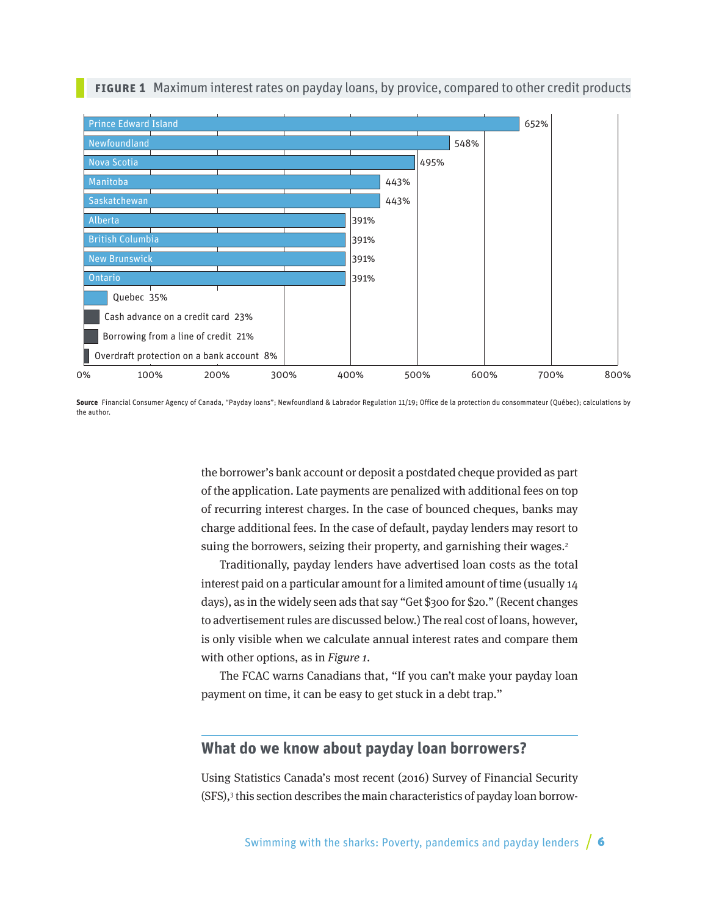<span id="page-5-0"></span>

#### **Figure 1** Maximum interest rates on payday loans, by provice, compared to other credit products

**Source** Financial Consumer Agency of Canada, "Payday loans"; Newfoundland & Labrador Regulation 11/19; Office de la protection du consommateur (Québec); calculations by the author.

the borrower's bank account or deposit a postdated cheque provided as part of the application. Late payments are penalized with additional fees on top of recurring interest charges. In the case of bounced cheques, banks may charge additional fees. In the case of default, payday lenders may resort to suing the borrowers, seizing their property, and garnishing their wages.<sup>2</sup>

Traditionally, payday lenders have advertised loan costs as the total interest paid on a particular amount for a limited amount of time (usually 14 days), as in the widely seen ads that say "Get \$300 for \$20." (Recent changes to advertisement rules are discussed below.) The real cost of loans, however, is only visible when we calculate annual interest rates and compare them with other options, as in Figure 1.

The FCAC warns Canadians that, "If you can't make your payday loan payment on time, it can be easy to get stuck in a debt trap."

## **What do we know about payday loan borrowers?**

Using Statistics Canada's most recent (2016) Survey of Financial Security (SFS),3 this section describes the main characteristics of payday loan borrow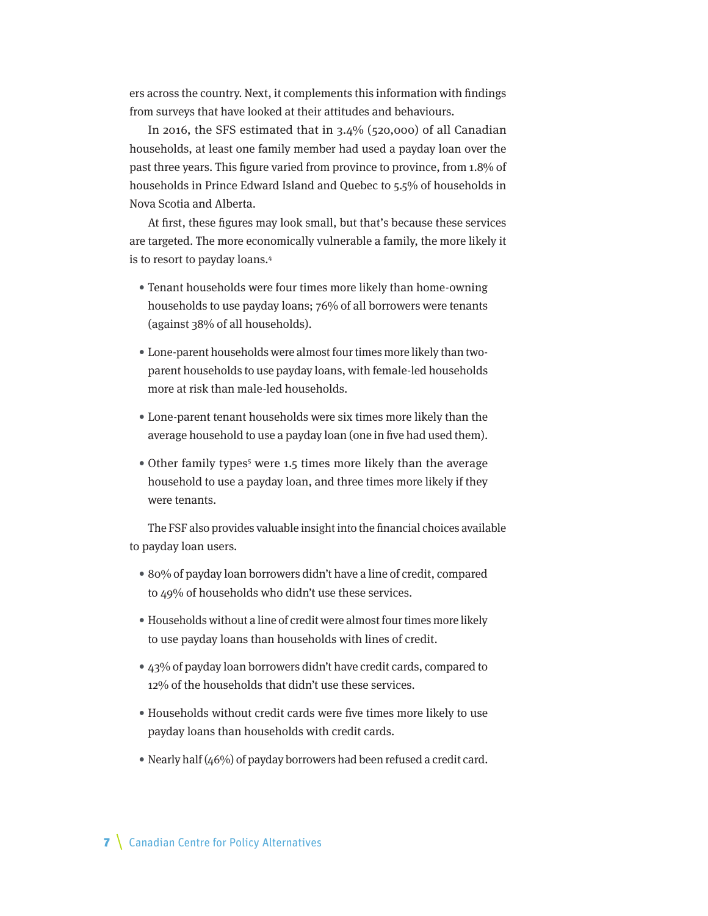ers across the country. Next, it complements this information with findings from surveys that have looked at their attitudes and behaviours.

In 2016, the SFS estimated that in 3.4% (520,000) of all Canadian households, at least one family member had used a payday loan over the past three years. This figure varied from province to province, from 1.8% of households in Prince Edward Island and Quebec to 5.5% of households in Nova Scotia and Alberta.

At first, these figures may look small, but that's because these services are targeted. The more economically vulnerable a family, the more likely it is to resort to payday loans.4

- Tenant households were four times more likely than home-owning households to use payday loans; 76% of all borrowers were tenants (against 38% of all households).
- Lone-parent households were almost four times more likely than twoparent households to use payday loans, with female-led households more at risk than male-led households.
- Lone-parent tenant households were six times more likely than the average household to use a payday loan (one in five had used them).
- Other family types<sup>5</sup> were 1.5 times more likely than the average household to use a payday loan, and three times more likely if they were tenants.

The FSF also provides valuable insight into the financial choices available to payday loan users.

- 80% of payday loan borrowers didn't have a line of credit, compared to 49% of households who didn't use these services.
- Households without a line of credit were almost four times more likely to use payday loans than households with lines of credit.
- 43% of payday loan borrowers didn't have credit cards, compared to 12% of the households that didn't use these services.
- Households without credit cards were five times more likely to use payday loans than households with credit cards.
- Nearly half (46%) of payday borrowers had been refused a credit card.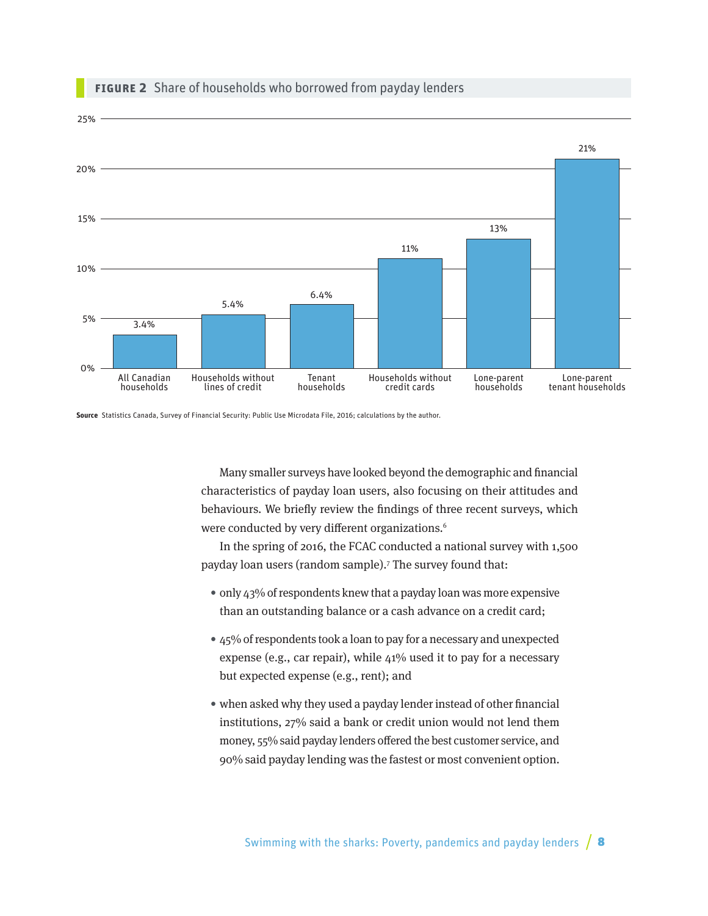

#### **Figure 2** Share of households who borrowed from payday lenders

**Source** Statistics Canada, Survey of Financial Security: Public Use Microdata File, 2016; calculations by the author.

Many smaller surveys have looked beyond the demographic and financial characteristics of payday loan users, also focusing on their attitudes and behaviours. We briefly review the findings of three recent surveys, which were conducted by very different organizations.<sup>6</sup>

In the spring of 2016, the FCAC conducted a national survey with 1,500 payday loan users (random sample).7 The survey found that:

- only 43% of respondents knew that a payday loan was more expensive than an outstanding balance or a cash advance on a credit card;
- 45% of respondents took a loan to pay for a necessary and unexpected expense (e.g., car repair), while 41% used it to pay for a necessary but expected expense (e.g., rent); and
- when asked why they used a payday lender instead of other financial institutions, 27% said a bank or credit union would not lend them money, 55% said payday lenders offered the best customer service, and 90% said payday lending was the fastest or most convenient option.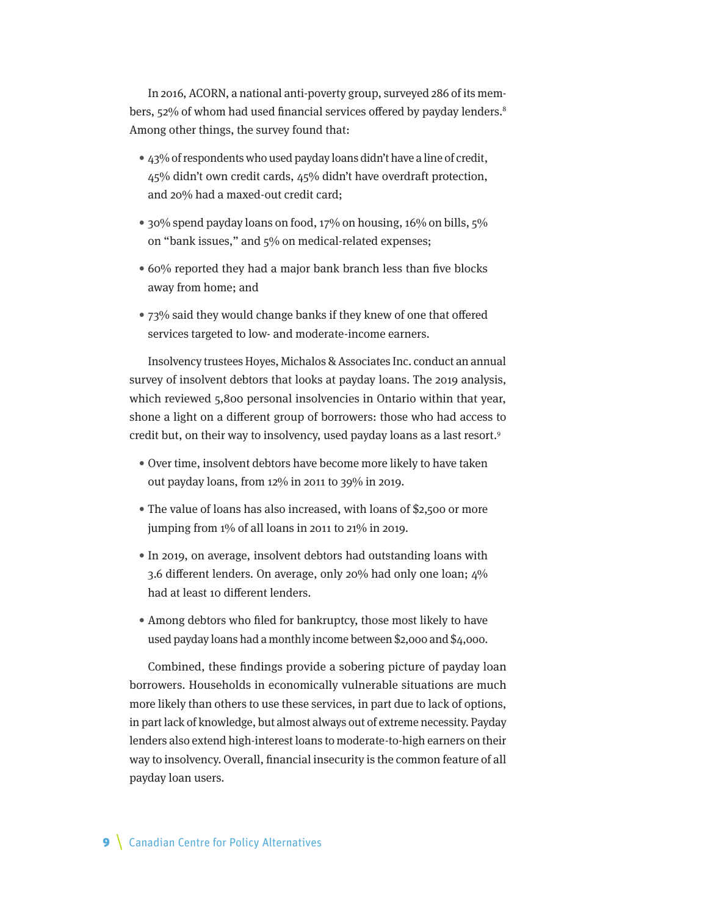In 2016, ACORN, a national anti-poverty group, surveyed 286 of its members, 52% of whom had used financial services offered by payday lenders.<sup>8</sup> Among other things, the survey found that:

- 43% of respondents who used payday loans didn't have a line of credit, 45% didn't own credit cards, 45% didn't have overdraft protection, and 20% had a maxed-out credit card;
- 30% spend payday loans on food, 17% on housing, 16% on bills, 5% on "bank issues," and 5% on medical-related expenses;
- 60% reported they had a major bank branch less than five blocks away from home; and
- 73% said they would change banks if they knew of one that offered services targeted to low- and moderate-income earners.

Insolvency trustees Hoyes, Michalos & Associates Inc. conduct an annual survey of insolvent debtors that looks at payday loans. The 2019 analysis, which reviewed 5,800 personal insolvencies in Ontario within that year, shone a light on a different group of borrowers: those who had access to credit but, on their way to insolvency, used payday loans as a last resort.9

- Over time, insolvent debtors have become more likely to have taken out payday loans, from 12% in 2011 to 39% in 2019.
- The value of loans has also increased, with loans of \$2,500 or more jumping from 1% of all loans in 2011 to 21% in 2019.
- In 2019, on average, insolvent debtors had outstanding loans with 3.6 different lenders. On average, only 20% had only one loan; 4% had at least 10 different lenders.
- Among debtors who filed for bankruptcy, those most likely to have used payday loans had a monthly income between \$2,000 and \$4,000.

Combined, these findings provide a sobering picture of payday loan borrowers. Households in economically vulnerable situations are much more likely than others to use these services, in part due to lack of options, in part lack of knowledge, but almost always out of extreme necessity. Payday lenders also extend high-interest loans to moderate-to-high earners on their way to insolvency. Overall, financial insecurity is the common feature of all payday loan users.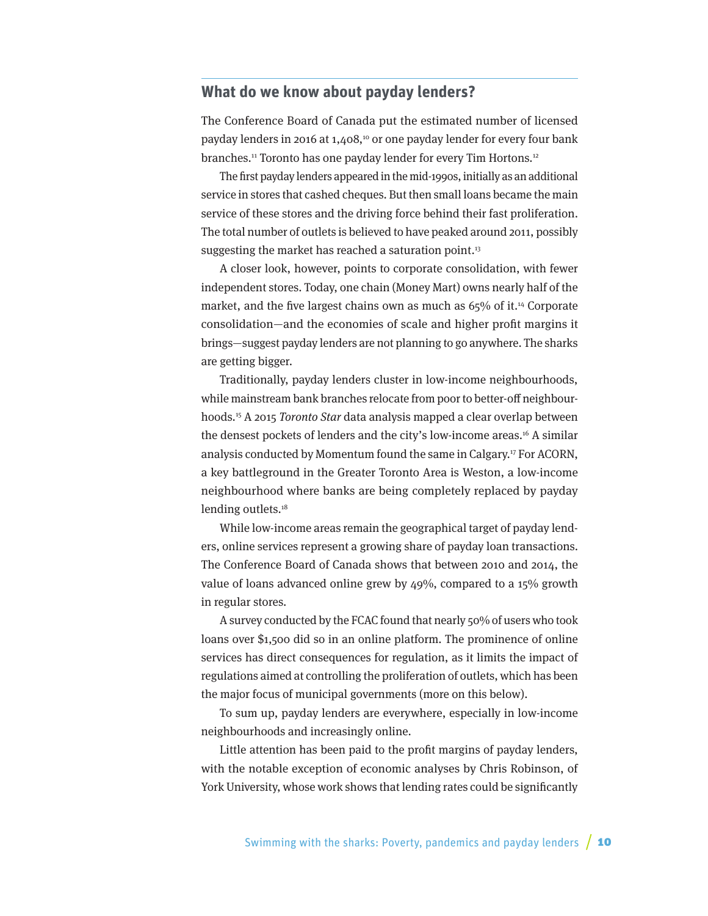## <span id="page-9-0"></span>**What do we know about payday lenders?**

The Conference Board of Canada put the estimated number of licensed payday lenders in 2016 at 1,408,<sup>10</sup> or one payday lender for every four bank branches.<sup>11</sup> Toronto has one payday lender for every Tim Hortons.<sup>12</sup>

The first payday lenders appeared in the mid-1990s, initially as an additional service in stores that cashed cheques. But then small loans became the main service of these stores and the driving force behind their fast proliferation. The total number of outlets is believed to have peaked around 2011, possibly suggesting the market has reached a saturation point. $13$ 

A closer look, however, points to corporate consolidation, with fewer independent stores. Today, one chain (Money Mart) owns nearly half of the market, and the five largest chains own as much as 65% of it.<sup>14</sup> Corporate consolidation—and the economies of scale and higher profit margins it brings—suggest payday lenders are not planning to go anywhere. The sharks are getting bigger.

Traditionally, payday lenders cluster in low-income neighbourhoods, while mainstream bank branches relocate from poor to better-off neighbourhoods.15 A 2015 Toronto Star data analysis mapped a clear overlap between the densest pockets of lenders and the city's low-income areas.<sup>16</sup> A similar analysis conducted by Momentum found the same in Calgary.17 For ACORN, a key battleground in the Greater Toronto Area is Weston, a low-income neighbourhood where banks are being completely replaced by payday lending outlets.<sup>18</sup>

While low-income areas remain the geographical target of payday lenders, online services represent a growing share of payday loan transactions. The Conference Board of Canada shows that between 2010 and 2014, the value of loans advanced online grew by 49%, compared to a 15% growth in regular stores.

A survey conducted by the FCAC found that nearly 50% of users who took loans over \$1,500 did so in an online platform. The prominence of online services has direct consequences for regulation, as it limits the impact of regulations aimed at controlling the proliferation of outlets, which has been the major focus of municipal governments (more on this below).

To sum up, payday lenders are everywhere, especially in low-income neighbourhoods and increasingly online.

Little attention has been paid to the profit margins of payday lenders, with the notable exception of economic analyses by Chris Robinson, of York University, whose work shows that lending rates could be significantly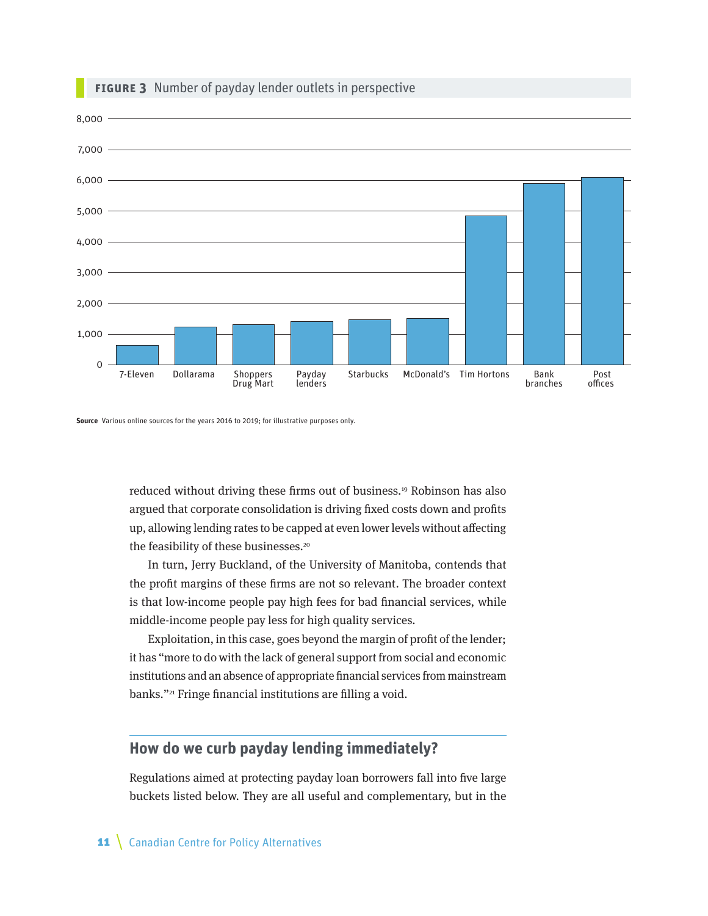<span id="page-10-0"></span>

#### **FIGURE 3** Number of payday lender outlets in perspective

**Source** Various online sources for the years 2016 to 2019; for illustrative purposes only.

reduced without driving these firms out of business.19 Robinson has also argued that corporate consolidation is driving fixed costs down and profits up, allowing lending rates to be capped at even lower levels without affecting the feasibility of these businesses.<sup>20</sup>

In turn, Jerry Buckland, of the University of Manitoba, contends that the profit margins of these firms are not so relevant. The broader context is that low-income people pay high fees for bad financial services, while middle-income people pay less for high quality services.

Exploitation, in this case, goes beyond the margin of profit of the lender; it has "more to do with the lack of general support from social and economic institutions and an absence of appropriate financial services from mainstream banks."21 Fringe financial institutions are filling a void.

## **How do we curb payday lending immediately?**

Regulations aimed at protecting payday loan borrowers fall into five large buckets listed below. They are all useful and complementary, but in the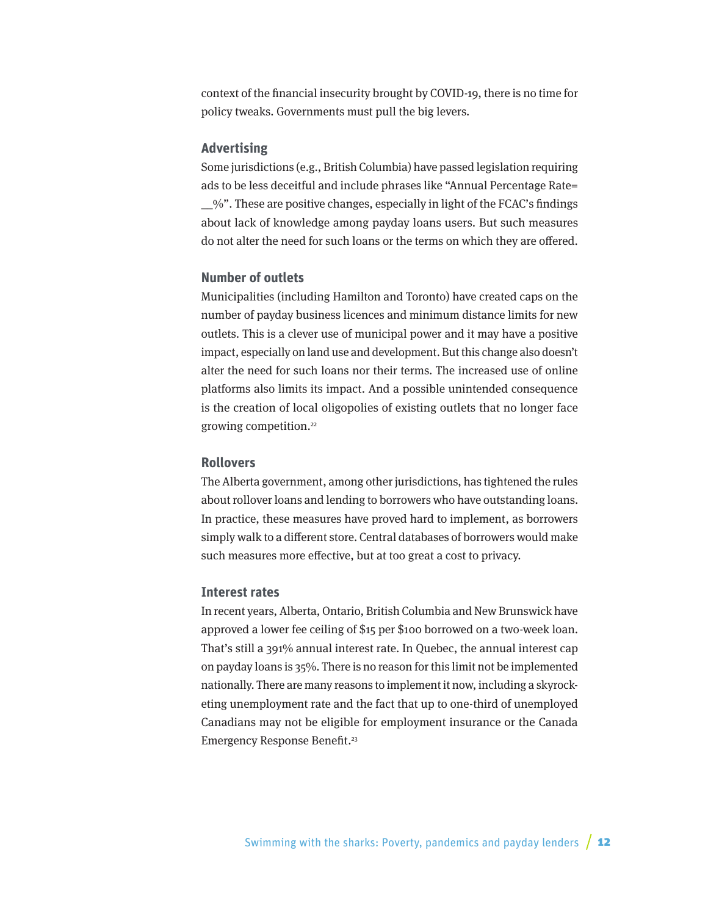context of the financial insecurity brought by COVID-19, there is no time for policy tweaks. Governments must pull the big levers.

#### **Advertising**

Some jurisdictions (e.g., British Columbia) have passed legislation requiring ads to be less deceitful and include phrases like "Annual Percentage Rate= \_\_%". These are positive changes, especially in light of the FCAC's findings about lack of knowledge among payday loans users. But such measures do not alter the need for such loans or the terms on which they are offered.

#### **Number of outlets**

Municipalities (including Hamilton and Toronto) have created caps on the number of payday business licences and minimum distance limits for new outlets. This is a clever use of municipal power and it may have a positive impact, especially on land use and development. But this change also doesn't alter the need for such loans nor their terms. The increased use of online platforms also limits its impact. And a possible unintended consequence is the creation of local oligopolies of existing outlets that no longer face growing competition.22

#### **Rollovers**

The Alberta government, among other jurisdictions, has tightened the rules about rollover loans and lending to borrowers who have outstanding loans. In practice, these measures have proved hard to implement, as borrowers simply walk to a different store. Central databases of borrowers would make such measures more effective, but at too great a cost to privacy.

#### **Interest rates**

In recent years, Alberta, Ontario, British Columbia and New Brunswick have approved a lower fee ceiling of \$15 per \$100 borrowed on a two-week loan. That's still a 391% annual interest rate. In Quebec, the annual interest cap on payday loans is 35%. There is no reason for this limit not be implemented nationally. There are many reasons to implement it now, including a skyrocketing unemployment rate and the fact that up to one-third of unemployed Canadians may not be eligible for employment insurance or the Canada Emergency Response Benefit.<sup>23</sup>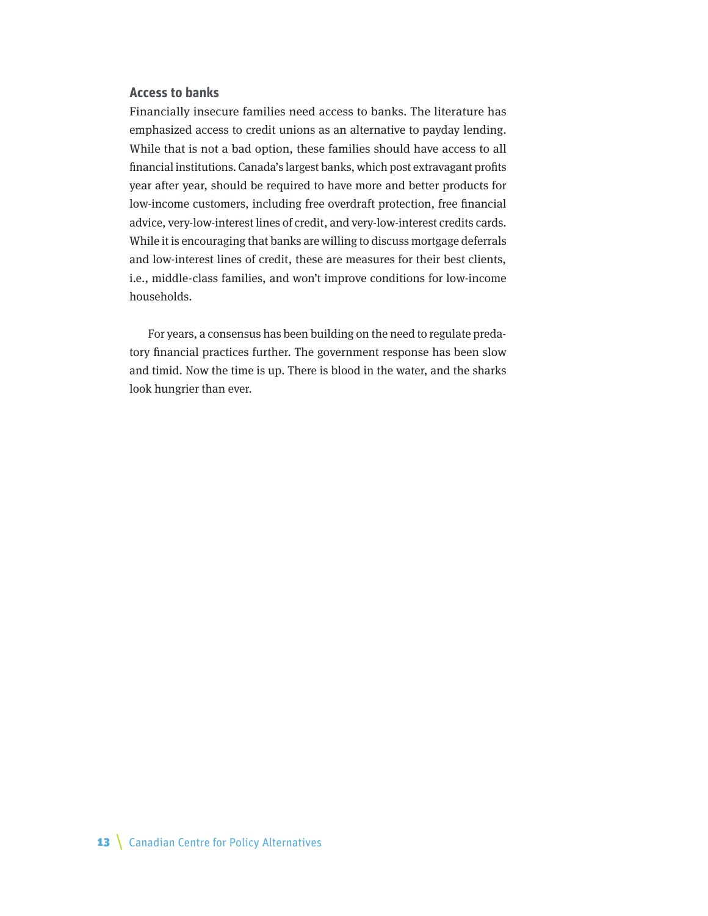#### **Access to banks**

Financially insecure families need access to banks. The literature has emphasized access to credit unions as an alternative to payday lending. While that is not a bad option, these families should have access to all financial institutions. Canada's largest banks, which post extravagant profits year after year, should be required to have more and better products for low-income customers, including free overdraft protection, free financial advice, very-low-interest lines of credit, and very-low-interest credits cards. While it is encouraging that banks are willing to discuss mortgage deferrals and low-interest lines of credit, these are measures for their best clients, i.e., middle-class families, and won't improve conditions for low-income households.

For years, a consensus has been building on the need to regulate predatory financial practices further. The government response has been slow and timid. Now the time is up. There is blood in the water, and the sharks look hungrier than ever.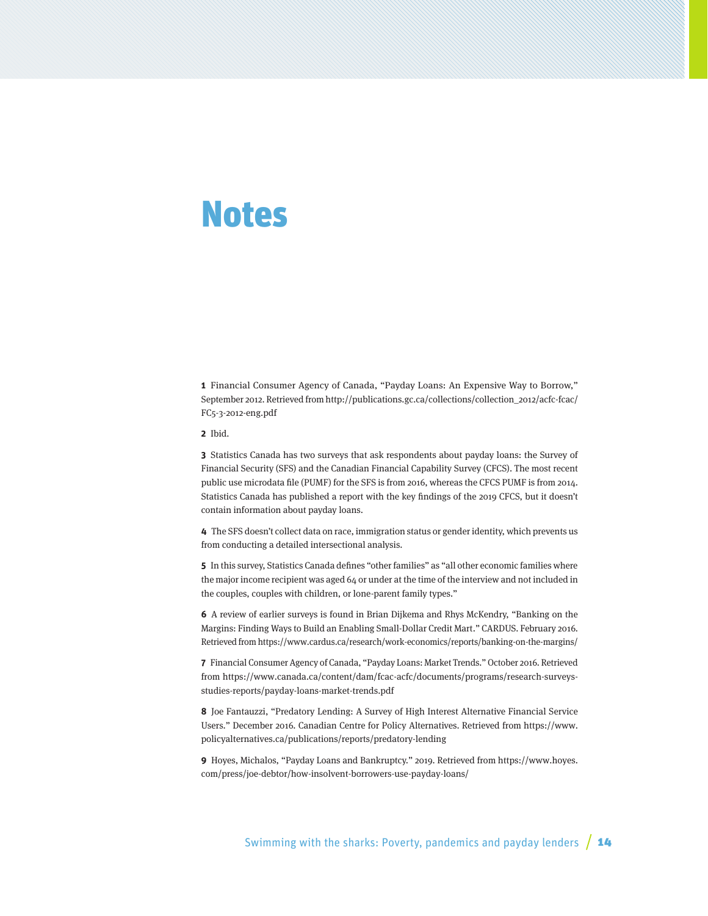## <span id="page-13-0"></span>Notes

**1** Financial Consumer Agency of Canada, "Payday Loans: An Expensive Way to Borrow," September 2012. Retrieved from [http://publications.gc.ca/collections/collection\\_2012/acfc-fcac/](http://publications.gc.ca/collections/collection_2012/acfc-fcac/FC5-3-2012-eng.pdf) [FC5-3-2012-eng.pdf](http://publications.gc.ca/collections/collection_2012/acfc-fcac/FC5-3-2012-eng.pdf)

**2** Ibid.

**3** Statistics Canada has two surveys that ask respondents about payday loans: the Survey of Financial Security (SFS) and the Canadian Financial Capability Survey (CFCS). The most recent public use microdata file (PUMF) for the SFS is from 2016, whereas the CFCS PUMF is from 2014. Statistics Canada has published a report with the key findings of the 2019 CFCS, but it doesn't contain information about payday loans.

**4** The SFS doesn't collect data on race, immigration status or gender identity, which prevents us from conducting a detailed intersectional analysis.

**5** In this survey, Statistics Canada defines "other families" as "all other economic families where the major income recipient was aged 64 or under at the time of the interview and not included in the couples, couples with children, or lone-parent family types."

**6** A review of earlier surveys is found in Brian Dijkema and Rhys McKendry, "Banking on the Margins: Finding Ways to Build an Enabling Small-Dollar Credit Mart." CARDUS. February 2016. Retrieved from<https://www.cardus.ca/research/work-economics/reports/banking-on-the-margins/>

**7** Financial Consumer Agency of Canada, "Payday Loans: Market Trends." October 2016. Retrieved from [https://www.canada.ca/content/dam/fcac-acfc/documents/programs/research-surveys](https://www.canada.ca/content/dam/fcac-acfc/documents/programs/research-surveys-studies-reports/payday-loans-market-trends.pdf)[studies-reports/payday-loans-market-trends.pdf](https://www.canada.ca/content/dam/fcac-acfc/documents/programs/research-surveys-studies-reports/payday-loans-market-trends.pdf)

**8** Joe Fantauzzi, "Predatory Lending: A Survey of High Interest Alternative Financial Service Users." December 2016. Canadian Centre for Policy Alternatives. Retrieved from [https://www.](https://www.policyalternatives.ca/publications/reports/predatory-lending) [policyalternatives.ca/publications/reports/predatory-lending](https://www.policyalternatives.ca/publications/reports/predatory-lending)

**9** Hoyes, Michalos, "Payday Loans and Bankruptcy." 2019. Retrieved from [https://www.hoyes.](https://www.hoyes.com/press/joe-debtor/how-insolvent-borrowers-use-payday-loans/) [com/press/joe-debtor/how-insolvent-borrowers-use-payday-loans/](https://www.hoyes.com/press/joe-debtor/how-insolvent-borrowers-use-payday-loans/)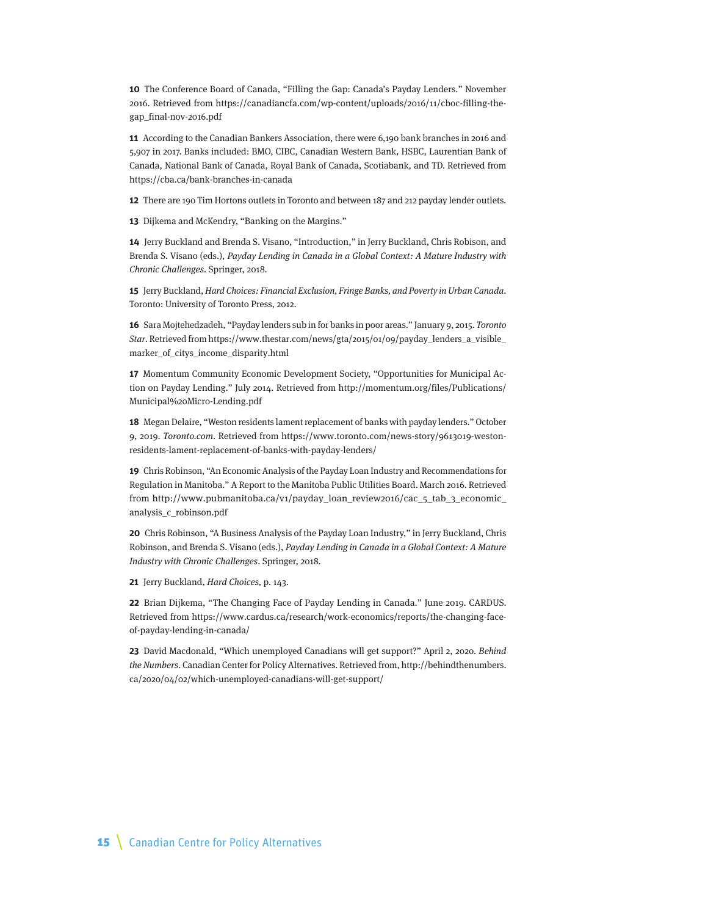**10** The Conference Board of Canada, "Filling the Gap: Canada's Payday Lenders." November 2016. Retrieved from [https://canadiancfa.com/wp-content/uploads/2016/11/cboc-filling-the](https://canadiancfa.com/wp-content/uploads/2016/11/cboc-filling-the-gap_final-nov-2016.pdf)[gap\\_final-nov-2016.pdf](https://canadiancfa.com/wp-content/uploads/2016/11/cboc-filling-the-gap_final-nov-2016.pdf)

**11** According to the Canadian Bankers Association, there were 6,190 bank branches in 2016 and 5,907 in 2017. Banks included: BMO, CIBC, Canadian Western Bank, HSBC, Laurentian Bank of Canada, National Bank of Canada, Royal Bank of Canada, Scotiabank, and TD. Retrieved from <https://cba.ca/bank-branches-in-canada>

**12** There are 190 Tim Hortons outlets in Toronto and between 187 and 212 payday lender outlets.

**13** Dijkema and McKendry, "Banking on the Margins."

**14** Jerry Buckland and Brenda S. Visano, "Introduction," in Jerry Buckland, Chris Robison, and Brenda S. Visano (eds.), Payday Lending in Canada in a Global Context: A Mature Industry with Chronic Challenges. Springer, 2018.

**15** Jerry Buckland, Hard Choices: Financial Exclusion, Fringe Banks, and Poverty in Urban Canada. Toronto: University of Toronto Press, 2012.

**16** Sara Mojtehedzadeh, "Payday lenders sub in for banks in poor areas." January 9, 2015. Toronto Star. Retrieved from [https://www.thestar.com/news/gta/2015/01/09/payday\\_lenders\\_a\\_visible\\_](https://www.thestar.com/news/gta/2015/01/09/payday_lenders_a_visible_marker_of_citys_income_disparity.html) [marker\\_of\\_citys\\_income\\_disparity.html](https://www.thestar.com/news/gta/2015/01/09/payday_lenders_a_visible_marker_of_citys_income_disparity.html)

**17** Momentum Community Economic Development Society, "Opportunities for Municipal Action on Payday Lending." July 2014. Retrieved from [http://momentum.org/files/Publications/](http://momentum.org/files/Publications/Municipal%20Micro-Lending.pdf) [Municipal%20Micro-Lending.pdf](http://momentum.org/files/Publications/Municipal%20Micro-Lending.pdf)

**18** Megan Delaire, "Weston residents lament replacement of banks with payday lenders." October 9, 2019. Toronto.com. Retrieved from [https://www.toronto.com/news-story/9613019-weston](https://www.toronto.com/news-story/9613019-weston-residents-lament-replacement-of-banks-with-payday-lenders/)[residents-lament-replacement-of-banks-with-payday-lenders/](https://www.toronto.com/news-story/9613019-weston-residents-lament-replacement-of-banks-with-payday-lenders/)

**19** Chris Robinson, "An Economic Analysis of the Payday Loan Industry and Recommendations for Regulation in Manitoba." A Report to the Manitoba Public Utilities Board. March 2016. Retrieved from [http://www.pubmanitoba.ca/v1/payday\\_loan\\_review2016/cac\\_5\\_tab\\_3\\_economic\\_](http://www.pubmanitoba.ca/v1/payday_loan_review2016/cac_5_tab_3_economic_analysis_c_robinson.pdf) [analysis\\_c\\_robinson.pdf](http://www.pubmanitoba.ca/v1/payday_loan_review2016/cac_5_tab_3_economic_analysis_c_robinson.pdf)

**20** Chris Robinson, "A Business Analysis of the Payday Loan Industry," in Jerry Buckland, Chris Robinson, and Brenda S. Visano (eds.), Payday Lending in Canada in a Global Context: A Mature Industry with Chronic Challenges. Springer, 2018.

**21** Jerry Buckland, Hard Choices, p. 143.

**22** Brian Dijkema, "The Changing Face of Payday Lending in Canada." June 2019. CARDUS. Retrieved from [https://www.cardus.ca/research/work-economics/reports/the-changing-face](https://www.cardus.ca/research/work-economics/reports/the-changing-face-of-payday-lending-in-canada/)[of-payday-lending-in-canada/](https://www.cardus.ca/research/work-economics/reports/the-changing-face-of-payday-lending-in-canada/)

**23** David Macdonald, "Which unemployed Canadians will get support?" April 2, 2020. Behind the Numbers. Canadian Center for Policy Alternatives. Retrieved from, [http://behindthenumbers.](http://behindthenumbers.ca/2020/04/02/which-unemployed-canadians-will-get-support/) [ca/2020/04/02/which-unemployed-canadians-will-get-support/](http://behindthenumbers.ca/2020/04/02/which-unemployed-canadians-will-get-support/)